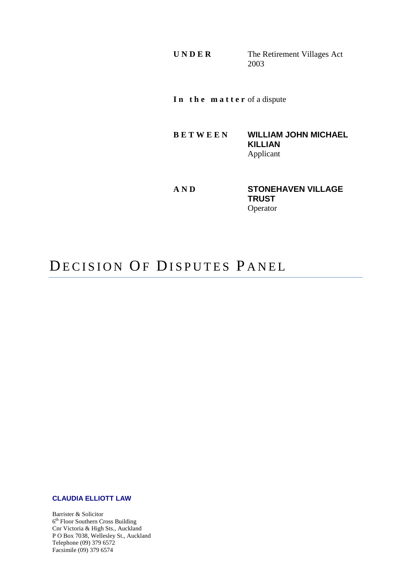**U N D E R** The Retirement Villages Act 2003

**I n t h e m a t t e r** of a dispute

**B E T W E E N WILLIAM JOHN MICHAEL KILLIAN** Applicant

**AND STONEHAVEN VILLAGE TRUST**  Operator

# DECISION OF DISPUTES PANEL

#### **CLAUDIA ELLIOTT LAW**

Barrister & Solicitor 6<sup>th</sup> Floor Southern Cross Building Cnr Victoria & High Sts., Auckland P O Box 7038, Wellesley St., Auckland Telephone (09) 379 6572 Facsimile (09) 379 6574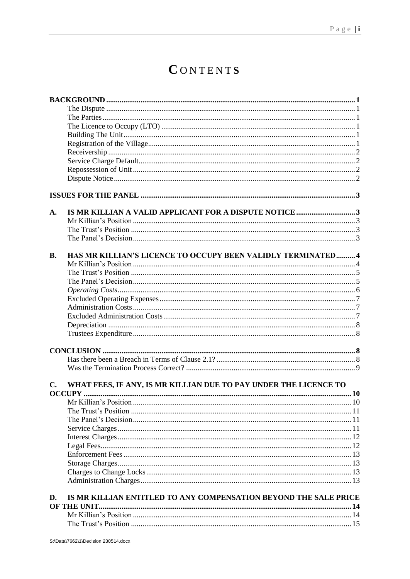# CONTENTS

| A.             |                                                                  |  |
|----------------|------------------------------------------------------------------|--|
|                |                                                                  |  |
|                |                                                                  |  |
|                |                                                                  |  |
| <b>B.</b>      | HAS MR KILLIAN'S LICENCE TO OCCUPY BEEN VALIDLY TERMINATED 4     |  |
|                |                                                                  |  |
|                |                                                                  |  |
|                |                                                                  |  |
|                |                                                                  |  |
|                |                                                                  |  |
|                |                                                                  |  |
|                |                                                                  |  |
|                |                                                                  |  |
|                |                                                                  |  |
|                |                                                                  |  |
|                |                                                                  |  |
|                |                                                                  |  |
| $\mathbf{C}$ . | WHAT FEES, IF ANY, IS MR KILLIAN DUE TO PAY UNDER THE LICENCE TO |  |
|                |                                                                  |  |
|                |                                                                  |  |
|                |                                                                  |  |
|                |                                                                  |  |
|                |                                                                  |  |
|                |                                                                  |  |
|                |                                                                  |  |
|                |                                                                  |  |
|                |                                                                  |  |
|                |                                                                  |  |
|                |                                                                  |  |
| D.             | IS MR KILLIAN ENTITLED TO ANY COMPENSATION BEYOND THE SALE PRICE |  |
|                | OF THE UNIT.                                                     |  |
|                |                                                                  |  |
|                |                                                                  |  |
|                |                                                                  |  |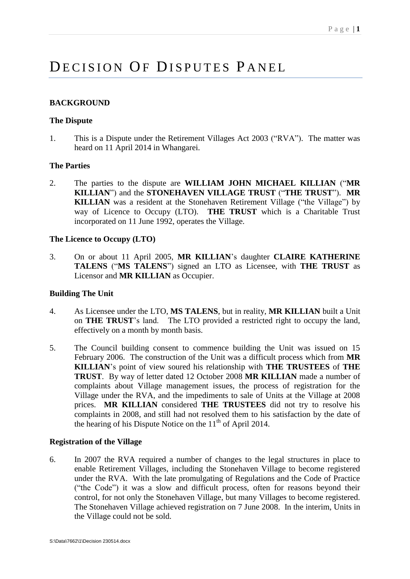# DECISION OF DISPUTES PANEL

# <span id="page-3-0"></span>**BACKGROUND**

# <span id="page-3-1"></span>**The Dispute**

1. This is a Dispute under the Retirement Villages Act 2003 ("RVA"). The matter was heard on 11 April 2014 in Whangarei.

# <span id="page-3-2"></span>**The Parties**

2. The parties to the dispute are **WILLIAM JOHN MICHAEL KILLIAN** ("**MR KILLIAN**") and the **STONEHAVEN VILLAGE TRUST** ("**THE TRUST**"). **MR KILLIAN** was a resident at the Stonehaven Retirement Village ("the Village") by way of Licence to Occupy (LTO). **THE TRUST** which is a Charitable Trust incorporated on 11 June 1992, operates the Village.

# <span id="page-3-3"></span>**The Licence to Occupy (LTO)**

3. On or about 11 April 2005, **MR KILLIAN**'s daughter **CLAIRE KATHERINE TALENS** ("**MS TALENS**") signed an LTO as Licensee, with **THE TRUST** as Licensor and **MR KILLIAN** as Occupier.

# <span id="page-3-4"></span>**Building The Unit**

- 4. As Licensee under the LTO, **MS TALENS**, but in reality, **MR KILLIAN** built a Unit on **THE TRUST**'s land. The LTO provided a restricted right to occupy the land, effectively on a month by month basis.
- 5. The Council building consent to commence building the Unit was issued on 15 February 2006. The construction of the Unit was a difficult process which from **MR KILLIAN**'s point of view soured his relationship with **THE TRUSTEES** of **THE TRUST**. By way of letter dated 12 October 2008 **MR KILLIAN** made a number of complaints about Village management issues, the process of registration for the Village under the RVA, and the impediments to sale of Units at the Village at 2008 prices. **MR KILLIAN** considered **THE TRUSTEES** did not try to resolve his complaints in 2008, and still had not resolved them to his satisfaction by the date of the hearing of his Dispute Notice on the  $11<sup>th</sup>$  of April 2014.

# <span id="page-3-5"></span>**Registration of the Village**

6. In 2007 the RVA required a number of changes to the legal structures in place to enable Retirement Villages, including the Stonehaven Village to become registered under the RVA. With the late promulgating of Regulations and the Code of Practice ("the Code") it was a slow and difficult process, often for reasons beyond their control, for not only the Stonehaven Village, but many Villages to become registered. The Stonehaven Village achieved registration on 7 June 2008. In the interim, Units in the Village could not be sold.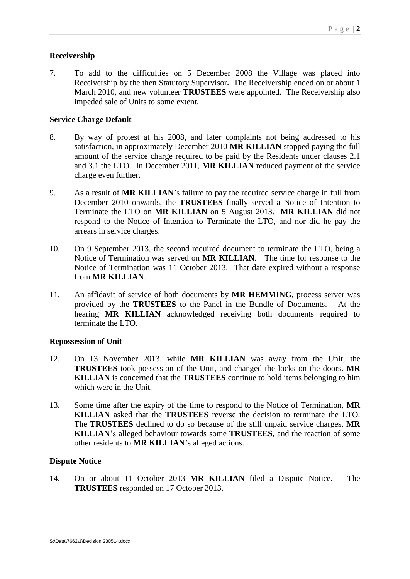# <span id="page-4-0"></span>**Receivership**

7. To add to the difficulties on 5 December 2008 the Village was placed into Receivership by the then Statutory Supervisor**.** The Receivership ended on or about 1 March 2010, and new volunteer **TRUSTEES** were appointed. The Receivership also impeded sale of Units to some extent.

# <span id="page-4-1"></span>**Service Charge Default**

- 8. By way of protest at his 2008, and later complaints not being addressed to his satisfaction, in approximately December 2010 **MR KILLIAN** stopped paying the full amount of the service charge required to be paid by the Residents under clauses 2.1 and 3.1 the LTO. In December 2011, **MR KILLIAN** reduced payment of the service charge even further.
- 9. As a result of **MR KILLIAN**'s failure to pay the required service charge in full from December 2010 onwards, the **TRUSTEES** finally served a Notice of Intention to Terminate the LTO on **MR KILLIAN** on 5 August 2013. **MR KILLIAN** did not respond to the Notice of Intention to Terminate the LTO, and nor did he pay the arrears in service charges.
- 10. On 9 September 2013, the second required document to terminate the LTO, being a Notice of Termination was served on **MR KILLIAN**. The time for response to the Notice of Termination was 11 October 2013. That date expired without a response from **MR KILLIAN**.
- 11. An affidavit of service of both documents by **MR HEMMING**, process server was provided by the **TRUSTEES** to the Panel in the Bundle of Documents. At the hearing **MR KILLIAN** acknowledged receiving both documents required to terminate the LTO.

# <span id="page-4-2"></span>**Repossession of Unit**

- 12. On 13 November 2013, while **MR KILLIAN** was away from the Unit, the **TRUSTEES** took possession of the Unit, and changed the locks on the doors. **MR KILLIAN** is concerned that the **TRUSTEES** continue to hold items belonging to him which were in the Unit.
- 13. Some time after the expiry of the time to respond to the Notice of Termination, **MR KILLIAN** asked that the **TRUSTEES** reverse the decision to terminate the LTO. The **TRUSTEES** declined to do so because of the still unpaid service charges, **MR KILLIAN**'s alleged behaviour towards some **TRUSTEES,** and the reaction of some other residents to **MR KILLIAN**'s alleged actions.

# <span id="page-4-3"></span>**Dispute Notice**

14. On or about 11 October 2013 **MR KILLIAN** filed a Dispute Notice. The **TRUSTEES** responded on 17 October 2013.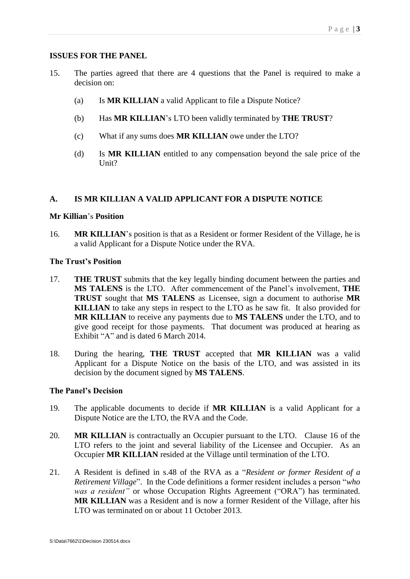# <span id="page-5-0"></span>**ISSUES FOR THE PANEL**

- 15. The parties agreed that there are 4 questions that the Panel is required to make a decision on:
	- (a) Is **MR KILLIAN** a valid Applicant to file a Dispute Notice?
	- (b) Has **MR KILLIAN**'s LTO been validly terminated by **THE TRUST**?
	- (c) What if any sums does **MR KILLIAN** owe under the LTO?
	- (d) Is **MR KILLIAN** entitled to any compensation beyond the sale price of the Unit?

# <span id="page-5-1"></span>**A. IS MR KILLIAN A VALID APPLICANT FOR A DISPUTE NOTICE**

# <span id="page-5-2"></span>**Mr Killian**'s **Position**

16. **MR KILLIAN**'s position is that as a Resident or former Resident of the Village, he is a valid Applicant for a Dispute Notice under the RVA.

# <span id="page-5-3"></span>**The Trust's Position**

- 17. **THE TRUST** submits that the key legally binding document between the parties and **MS TALENS** is the LTO. After commencement of the Panel's involvement, **THE TRUST** sought that **MS TALENS** as Licensee, sign a document to authorise **MR KILLIAN** to take any steps in respect to the LTO as he saw fit. It also provided for **MR KILLIAN** to receive any payments due to **MS TALENS** under the LTO, and to give good receipt for those payments. That document was produced at hearing as Exhibit "A" and is dated 6 March 2014.
- 18. During the hearing, **THE TRUST** accepted that **MR KILLIAN** was a valid Applicant for a Dispute Notice on the basis of the LTO, and was assisted in its decision by the document signed by **MS TALENS**.

# <span id="page-5-4"></span>**The Panel's Decision**

- 19. The applicable documents to decide if **MR KILLIAN** is a valid Applicant for a Dispute Notice are the LTO, the RVA and the Code.
- 20. **MR KILLIAN** is contractually an Occupier pursuant to the LTO. Clause 16 of the LTO refers to the joint and several liability of the Licensee and Occupier. As an Occupier **MR KILLIAN** resided at the Village until termination of the LTO.
- 21. A Resident is defined in s.48 of the RVA as a "*Resident or former Resident of a Retirement Village*". In the Code definitions a former resident includes a person "*who was a resident"* or whose Occupation Rights Agreement ("ORA") has terminated. **MR KILLIAN** was a Resident and is now a former Resident of the Village, after his LTO was terminated on or about 11 October 2013.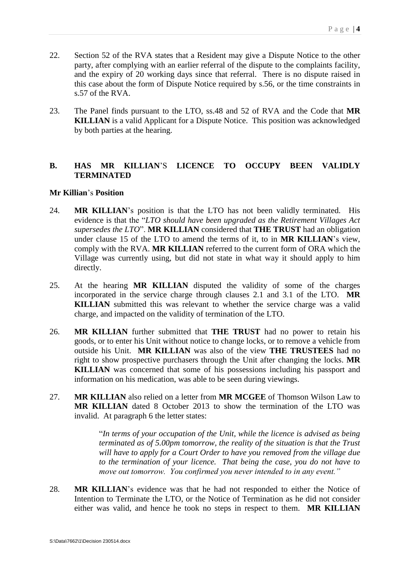- 22. Section 52 of the RVA states that a Resident may give a Dispute Notice to the other party, after complying with an earlier referral of the dispute to the complaints facility, and the expiry of 20 working days since that referral. There is no dispute raised in this case about the form of Dispute Notice required by s.56, or the time constraints in s.57 of the RVA.
- 23. The Panel finds pursuant to the LTO, ss.48 and 52 of RVA and the Code that **MR KILLIAN** is a valid Applicant for a Dispute Notice. This position was acknowledged by both parties at the hearing.

# <span id="page-6-0"></span>**B. HAS MR KILLIAN**'S **LICENCE TO OCCUPY BEEN VALIDLY TERMINATED**

#### <span id="page-6-1"></span>**Mr Killian**'s **Position**

- 24. **MR KILLIAN**'s position is that the LTO has not been validly terminated. His evidence is that the "*LTO should have been upgraded as the Retirement Villages Act supersedes the LTO*". **MR KILLIAN** considered that **THE TRUST** had an obligation under clause 15 of the LTO to amend the terms of it, to in **MR KILLIAN**'s view, comply with the RVA. **MR KILLIAN** referred to the current form of ORA which the Village was currently using, but did not state in what way it should apply to him directly.
- 25. At the hearing **MR KILLIAN** disputed the validity of some of the charges incorporated in the service charge through clauses 2.1 and 3.1 of the LTO. **MR KILLIAN** submitted this was relevant to whether the service charge was a valid charge, and impacted on the validity of termination of the LTO.
- 26. **MR KILLIAN** further submitted that **THE TRUST** had no power to retain his goods, or to enter his Unit without notice to change locks, or to remove a vehicle from outside his Unit. **MR KILLIAN** was also of the view **THE TRUSTEES** had no right to show prospective purchasers through the Unit after changing the locks. **MR KILLIAN** was concerned that some of his possessions including his passport and information on his medication, was able to be seen during viewings.
- 27. **MR KILLIAN** also relied on a letter from **MR MCGEE** of Thomson Wilson Law to **MR KILLIAN** dated 8 October 2013 to show the termination of the LTO was invalid. At paragraph 6 the letter states:

"*In terms of your occupation of the Unit, while the licence is advised as being terminated as of 5.00pm tomorrow, the reality of the situation is that the Trust will have to apply for a Court Order to have you removed from the village due to the termination of your licence. That being the case, you do not have to move out tomorrow. You confirmed you never intended to in any event."*

28. **MR KILLIAN**'s evidence was that he had not responded to either the Notice of Intention to Terminate the LTO, or the Notice of Termination as he did not consider either was valid, and hence he took no steps in respect to them. **MR KILLIAN**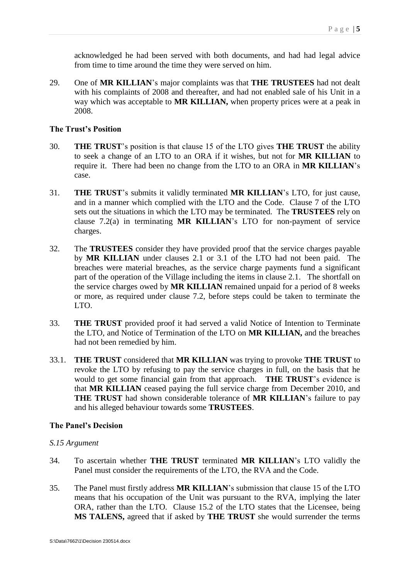acknowledged he had been served with both documents, and had had legal advice from time to time around the time they were served on him.

29. One of **MR KILLIAN**'s major complaints was that **THE TRUSTEES** had not dealt with his complaints of 2008 and thereafter, and had not enabled sale of his Unit in a way which was acceptable to **MR KILLIAN,** when property prices were at a peak in 2008.

## <span id="page-7-0"></span>**The Trust's Position**

- 30. **THE TRUST**'s position is that clause 15 of the LTO gives **THE TRUST** the ability to seek a change of an LTO to an ORA if it wishes, but not for **MR KILLIAN** to require it. There had been no change from the LTO to an ORA in **MR KILLIAN**'s case.
- 31. **THE TRUST**'s submits it validly terminated **MR KILLIAN**'s LTO, for just cause, and in a manner which complied with the LTO and the Code. Clause 7 of the LTO sets out the situations in which the LTO may be terminated. The **TRUSTEES** rely on clause 7.2(a) in terminating **MR KILLIAN**'s LTO for non-payment of service charges.
- 32. The **TRUSTEES** consider they have provided proof that the service charges payable by **MR KILLIAN** under clauses 2.1 or 3.1 of the LTO had not been paid. The breaches were material breaches, as the service charge payments fund a significant part of the operation of the Village including the items in clause 2.1. The shortfall on the service charges owed by **MR KILLIAN** remained unpaid for a period of 8 weeks or more, as required under clause 7.2, before steps could be taken to terminate the LTO.
- 33. **THE TRUST** provided proof it had served a valid Notice of Intention to Terminate the LTO, and Notice of Termination of the LTO on **MR KILLIAN,** and the breaches had not been remedied by him.
- 33.1. **THE TRUST** considered that **MR KILLIAN** was trying to provoke **THE TRUST** to revoke the LTO by refusing to pay the service charges in full, on the basis that he would to get some financial gain from that approach. **THE TRUST**'s evidence is that **MR KILLIAN** ceased paying the full service charge from December 2010, and **THE TRUST** had shown considerable tolerance of **MR KILLIAN**'s failure to pay and his alleged behaviour towards some **TRUSTEES**.

# <span id="page-7-1"></span>**The Panel's Decision**

# *S.15 Argument*

- 34. To ascertain whether **THE TRUST** terminated **MR KILLIAN**'s LTO validly the Panel must consider the requirements of the LTO, the RVA and the Code.
- 35. The Panel must firstly address **MR KILLIAN**'s submission that clause 15 of the LTO means that his occupation of the Unit was pursuant to the RVA, implying the later ORA, rather than the LTO. Clause 15.2 of the LTO states that the Licensee, being **MS TALENS,** agreed that if asked by **THE TRUST** she would surrender the terms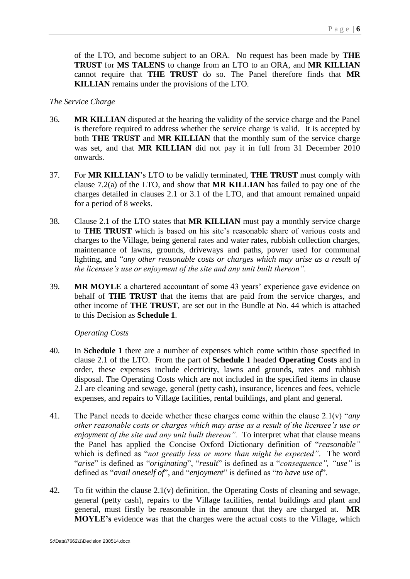of the LTO, and become subject to an ORA. No request has been made by **THE TRUST** for **MS TALENS** to change from an LTO to an ORA, and **MR KILLIAN** cannot require that **THE TRUST** do so. The Panel therefore finds that **MR KILLIAN** remains under the provisions of the LTO.

## *The Service Charge*

- 36. **MR KILLIAN** disputed at the hearing the validity of the service charge and the Panel is therefore required to address whether the service charge is valid. It is accepted by both **THE TRUST** and **MR KILLIAN** that the monthly sum of the service charge was set, and that **MR KILLIAN** did not pay it in full from 31 December 2010 onwards.
- 37. For **MR KILLIAN**'s LTO to be validly terminated, **THE TRUST** must comply with clause 7.2(a) of the LTO, and show that **MR KILLIAN** has failed to pay one of the charges detailed in clauses 2.1 or 3.1 of the LTO, and that amount remained unpaid for a period of 8 weeks.
- 38. Clause 2.1 of the LTO states that **MR KILLIAN** must pay a monthly service charge to **THE TRUST** which is based on his site's reasonable share of various costs and charges to the Village, being general rates and water rates, rubbish collection charges, maintenance of lawns, grounds, driveways and paths, power used for communal lighting, and "*any other reasonable costs or charges which may arise as a result of the licensee's use or enjoyment of the site and any unit built thereon".*
- 39. **MR MOYLE** a chartered accountant of some 43 years' experience gave evidence on behalf of **THE TRUST** that the items that are paid from the service charges, and other income of **THE TRUST**, are set out in the Bundle at No. 44 which is attached to this Decision as **Schedule 1**.

*Operating Costs*

- <span id="page-8-0"></span>40. In **Schedule 1** there are a number of expenses which come within those specified in clause 2.1 of the LTO. From the part of **Schedule 1** headed **Operating Costs** and in order, these expenses include electricity, lawns and grounds, rates and rubbish disposal. The Operating Costs which are not included in the specified items in clause 2.l are cleaning and sewage, general (petty cash), insurance, licences and fees, vehicle expenses, and repairs to Village facilities, rental buildings, and plant and general.
- 41. The Panel needs to decide whether these charges come within the clause 2.1(v) "*any other reasonable costs or charges which may arise as a result of the licensee's use or enjoyment of the site and any unit built thereon".* To interpret what that clause means the Panel has applied the Concise Oxford Dictionary definition of "*reasonable"* which is defined as "*not greatly less or more than might be expected"*. The word "*arise*" is defined as "*originating*", "*result*" is defined as a "*consequence", "use"* is defined as "*avail oneself of*", and "*enjoyment*" is defined as "*to have use of*".
- 42. To fit within the clause 2.1(v) definition, the Operating Costs of cleaning and sewage, general (petty cash), repairs to the Village facilities, rental buildings and plant and general, must firstly be reasonable in the amount that they are charged at. **MR MOYLE's** evidence was that the charges were the actual costs to the Village, which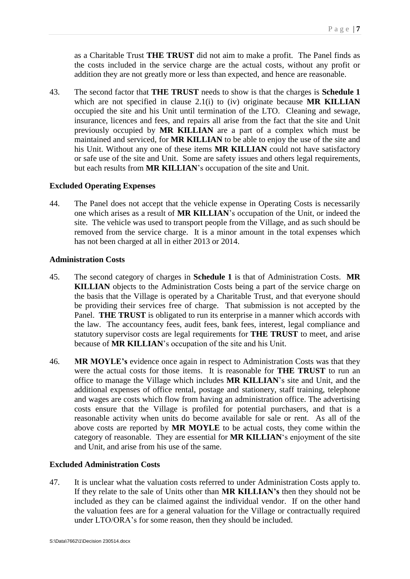as a Charitable Trust **THE TRUST** did not aim to make a profit. The Panel finds as the costs included in the service charge are the actual costs, without any profit or addition they are not greatly more or less than expected, and hence are reasonable.

43. The second factor that **THE TRUST** needs to show is that the charges is **Schedule 1**  which are not specified in clause 2.1(i) to (iv) originate because **MR KILLIAN** occupied the site and his Unit until termination of the LTO. Cleaning and sewage, insurance, licences and fees, and repairs all arise from the fact that the site and Unit previously occupied by **MR KILLIAN** are a part of a complex which must be maintained and serviced, for **MR KILLIAN** to be able to enjoy the use of the site and his Unit. Without any one of these items **MR KILLIAN** could not have satisfactory or safe use of the site and Unit. Some are safety issues and others legal requirements, but each results from **MR KILLIAN**'s occupation of the site and Unit.

#### <span id="page-9-0"></span>**Excluded Operating Expenses**

44. The Panel does not accept that the vehicle expense in Operating Costs is necessarily one which arises as a result of **MR KILLIAN**'s occupation of the Unit, or indeed the site. The vehicle was used to transport people from the Village, and as such should be removed from the service charge. It is a minor amount in the total expenses which has not been charged at all in either 2013 or 2014.

## <span id="page-9-1"></span>**Administration Costs**

- 45. The second category of charges in **Schedule 1** is that of Administration Costs. **MR KILLIAN** objects to the Administration Costs being a part of the service charge on the basis that the Village is operated by a Charitable Trust, and that everyone should be providing their services free of charge. That submission is not accepted by the Panel. **THE TRUST** is obligated to run its enterprise in a manner which accords with the law. The accountancy fees, audit fees, bank fees, interest, legal compliance and statutory supervisor costs are legal requirements for **THE TRUST** to meet, and arise because of **MR KILLIAN**'s occupation of the site and his Unit.
- 46. **MR MOYLE's** evidence once again in respect to Administration Costs was that they were the actual costs for those items. It is reasonable for **THE TRUST** to run an office to manage the Village which includes **MR KILLIAN**'s site and Unit, and the additional expenses of office rental, postage and stationery, staff training, telephone and wages are costs which flow from having an administration office. The advertising costs ensure that the Village is profiled for potential purchasers, and that is a reasonable activity when units do become available for sale or rent. As all of the above costs are reported by **MR MOYLE** to be actual costs, they come within the category of reasonable. They are essential for **MR KILLIAN**'s enjoyment of the site and Unit, and arise from his use of the same.

# <span id="page-9-2"></span>**Excluded Administration Costs**

47. It is unclear what the valuation costs referred to under Administration Costs apply to. If they relate to the sale of Units other than **MR KILLIAN's** then they should not be included as they can be claimed against the individual vendor. If on the other hand the valuation fees are for a general valuation for the Village or contractually required under LTO/ORA's for some reason, then they should be included.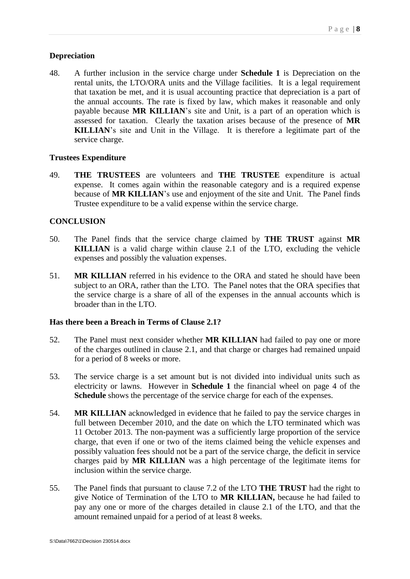## <span id="page-10-0"></span>**Depreciation**

48. A further inclusion in the service charge under **Schedule 1** is Depreciation on the rental units, the LTO/ORA units and the Village facilities. It is a legal requirement that taxation be met, and it is usual accounting practice that depreciation is a part of the annual accounts. The rate is fixed by law, which makes it reasonable and only payable because **MR KILLIAN**'s site and Unit, is a part of an operation which is assessed for taxation. Clearly the taxation arises because of the presence of **MR KILLIAN**'s site and Unit in the Village. It is therefore a legitimate part of the service charge.

#### <span id="page-10-1"></span>**Trustees Expenditure**

49. **THE TRUSTEES** are volunteers and **THE TRUSTEE** expenditure is actual expense. It comes again within the reasonable category and is a required expense because of **MR KILLIAN**'s use and enjoyment of the site and Unit. The Panel finds Trustee expenditure to be a valid expense within the service charge.

# <span id="page-10-2"></span>**CONCLUSION**

- 50. The Panel finds that the service charge claimed by **THE TRUST** against **MR KILLIAN** is a valid charge within clause 2.1 of the LTO, excluding the vehicle expenses and possibly the valuation expenses.
- 51. **MR KILLIAN** referred in his evidence to the ORA and stated he should have been subject to an ORA, rather than the LTO. The Panel notes that the ORA specifies that the service charge is a share of all of the expenses in the annual accounts which is broader than in the LTO.

# <span id="page-10-3"></span>**Has there been a Breach in Terms of Clause 2.1?**

- 52. The Panel must next consider whether **MR KILLIAN** had failed to pay one or more of the charges outlined in clause 2.1, and that charge or charges had remained unpaid for a period of 8 weeks or more.
- 53. The service charge is a set amount but is not divided into individual units such as electricity or lawns. However in **Schedule 1** the financial wheel on page 4 of the **Schedule** shows the percentage of the service charge for each of the expenses.
- 54. **MR KILLIAN** acknowledged in evidence that he failed to pay the service charges in full between December 2010, and the date on which the LTO terminated which was 11 October 2013. The non-payment was a sufficiently large proportion of the service charge, that even if one or two of the items claimed being the vehicle expenses and possibly valuation fees should not be a part of the service charge, the deficit in service charges paid by **MR KILLIAN** was a high percentage of the legitimate items for inclusion within the service charge.
- 55. The Panel finds that pursuant to clause 7.2 of the LTO **THE TRUST** had the right to give Notice of Termination of the LTO to **MR KILLIAN,** because he had failed to pay any one or more of the charges detailed in clause 2.1 of the LTO, and that the amount remained unpaid for a period of at least 8 weeks.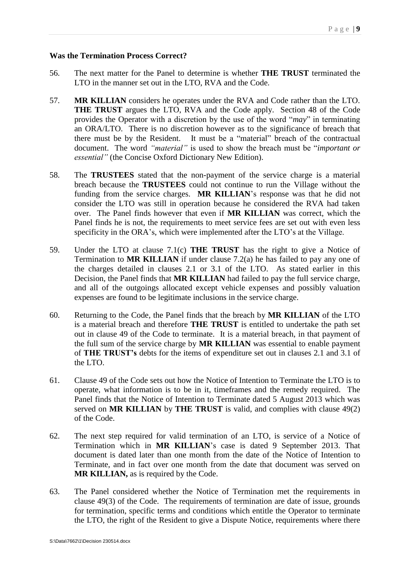#### <span id="page-11-0"></span>**Was the Termination Process Correct?**

- 56. The next matter for the Panel to determine is whether **THE TRUST** terminated the LTO in the manner set out in the LTO, RVA and the Code.
- 57. **MR KILLIAN** considers he operates under the RVA and Code rather than the LTO. **THE TRUST** argues the LTO, RVA and the Code apply. Section 48 of the Code provides the Operator with a discretion by the use of the word "*may*" in terminating an ORA/LTO. There is no discretion however as to the significance of breach that there must be by the Resident. It must be a "material" breach of the contractual document. The word *"material"* is used to show the breach must be "*important or essential"* (the Concise Oxford Dictionary New Edition).
- 58. The **TRUSTEES** stated that the non-payment of the service charge is a material breach because the **TRUSTEES** could not continue to run the Village without the funding from the service charges. **MR KILLIAN**'s response was that he did not consider the LTO was still in operation because he considered the RVA had taken over. The Panel finds however that even if **MR KILLIAN** was correct, which the Panel finds he is not, the requirements to meet service fees are set out with even less specificity in the ORA's, which were implemented after the LTO's at the Village.
- 59. Under the LTO at clause 7.1(c) **THE TRUST** has the right to give a Notice of Termination to **MR KILLIAN** if under clause 7.2(a) he has failed to pay any one of the charges detailed in clauses 2.1 or 3.1 of the LTO. As stated earlier in this Decision, the Panel finds that **MR KILLIAN** had failed to pay the full service charge, and all of the outgoings allocated except vehicle expenses and possibly valuation expenses are found to be legitimate inclusions in the service charge.
- 60. Returning to the Code, the Panel finds that the breach by **MR KILLIAN** of the LTO is a material breach and therefore **THE TRUST** is entitled to undertake the path set out in clause 49 of the Code to terminate. It is a material breach, in that payment of the full sum of the service charge by **MR KILLIAN** was essential to enable payment of **THE TRUST's** debts for the items of expenditure set out in clauses 2.1 and 3.1 of the LTO.
- 61. Clause 49 of the Code sets out how the Notice of Intention to Terminate the LTO is to operate, what information is to be in it, timeframes and the remedy required. The Panel finds that the Notice of Intention to Terminate dated 5 August 2013 which was served on **MR KILLIAN** by **THE TRUST** is valid, and complies with clause 49(2) of the Code.
- 62. The next step required for valid termination of an LTO, is service of a Notice of Termination which in **MR KILLIAN**'s case is dated 9 September 2013. That document is dated later than one month from the date of the Notice of Intention to Terminate, and in fact over one month from the date that document was served on **MR KILLIAN,** as is required by the Code.
- 63. The Panel considered whether the Notice of Termination met the requirements in clause 49(3) of the Code. The requirements of termination are date of issue, grounds for termination, specific terms and conditions which entitle the Operator to terminate the LTO, the right of the Resident to give a Dispute Notice, requirements where there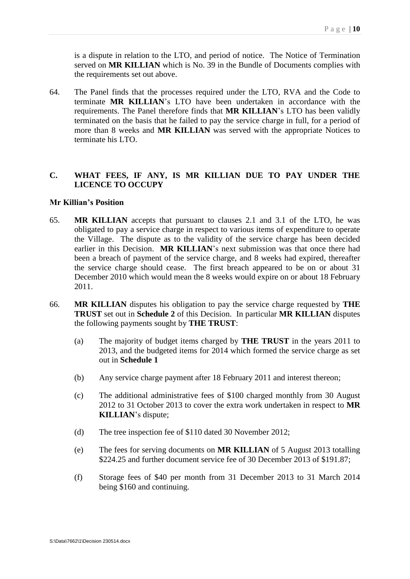is a dispute in relation to the LTO, and period of notice. The Notice of Termination served on **MR KILLIAN** which is No. 39 in the Bundle of Documents complies with the requirements set out above.

64. The Panel finds that the processes required under the LTO, RVA and the Code to terminate **MR KILLIAN**'s LTO have been undertaken in accordance with the requirements. The Panel therefore finds that **MR KILLIAN**'s LTO has been validly terminated on the basis that he failed to pay the service charge in full, for a period of more than 8 weeks and **MR KILLIAN** was served with the appropriate Notices to terminate his LTO.

# <span id="page-12-0"></span>**C. WHAT FEES, IF ANY, IS MR KILLIAN DUE TO PAY UNDER THE LICENCE TO OCCUPY**

#### <span id="page-12-1"></span>**Mr Killian's Position**

- 65. **MR KILLIAN** accepts that pursuant to clauses 2.1 and 3.1 of the LTO, he was obligated to pay a service charge in respect to various items of expenditure to operate the Village. The dispute as to the validity of the service charge has been decided earlier in this Decision. **MR KILLIAN**'s next submission was that once there had been a breach of payment of the service charge, and 8 weeks had expired, thereafter the service charge should cease. The first breach appeared to be on or about 31 December 2010 which would mean the 8 weeks would expire on or about 18 February 2011.
- 66. **MR KILLIAN** disputes his obligation to pay the service charge requested by **THE TRUST** set out in **Schedule 2** of this Decision. In particular **MR KILLIAN** disputes the following payments sought by **THE TRUST**:
	- (a) The majority of budget items charged by **THE TRUST** in the years 2011 to 2013, and the budgeted items for 2014 which formed the service charge as set out in **Schedule 1**
	- (b) Any service charge payment after 18 February 2011 and interest thereon;
	- (c) The additional administrative fees of \$100 charged monthly from 30 August 2012 to 31 October 2013 to cover the extra work undertaken in respect to **MR KILLIAN**'s dispute;
	- (d) The tree inspection fee of \$110 dated 30 November 2012;
	- (e) The fees for serving documents on **MR KILLIAN** of 5 August 2013 totalling \$224.25 and further document service fee of 30 December 2013 of \$191.87;
	- (f) Storage fees of \$40 per month from 31 December 2013 to 31 March 2014 being \$160 and continuing.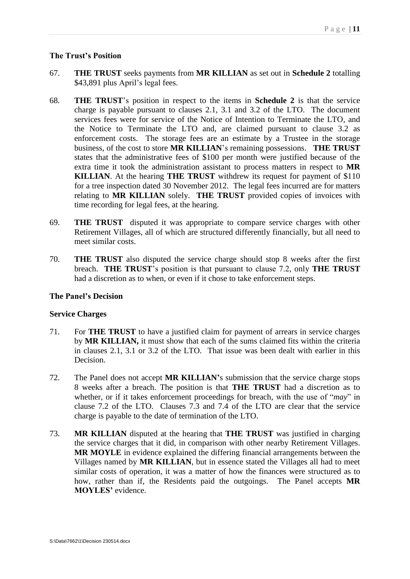# <span id="page-13-0"></span>**The Trust's Position**

- 67. **THE TRUST** seeks payments from **MR KILLIAN** as set out in **Schedule 2** totalling \$43,891 plus April's legal fees.
- 68. **THE TRUST**'s position in respect to the items in **Schedule 2** is that the service charge is payable pursuant to clauses 2.1, 3.1 and 3.2 of the LTO. The document services fees were for service of the Notice of Intention to Terminate the LTO, and the Notice to Terminate the LTO and, are claimed pursuant to clause 3.2 as enforcement costs. The storage fees are an estimate by a Trustee in the storage business, of the cost to store **MR KILLIAN**'s remaining possessions. **THE TRUST** states that the administrative fees of \$100 per month were justified because of the extra time it took the administration assistant to process matters in respect to **MR KILLIAN**. At the hearing **THE TRUST** withdrew its request for payment of \$110 for a tree inspection dated 30 November 2012. The legal fees incurred are for matters relating to **MR KILLIAN** solely. **THE TRUST** provided copies of invoices with time recording for legal fees, at the hearing.
- 69. **THE TRUST** disputed it was appropriate to compare service charges with other Retirement Villages, all of which are structured differently financially, but all need to meet similar costs.
- 70. **THE TRUST** also disputed the service charge should stop 8 weeks after the first breach. **THE TRUST**'s position is that pursuant to clause 7.2, only **THE TRUST** had a discretion as to when, or even if it chose to take enforcement steps.

# <span id="page-13-1"></span>**The Panel's Decision**

# <span id="page-13-2"></span>**Service Charges**

- 71. For **THE TRUST** to have a justified claim for payment of arrears in service charges by **MR KILLIAN,** it must show that each of the sums claimed fits within the criteria in clauses 2.1, 3.1 or 3.2 of the LTO. That issue was been dealt with earlier in this Decision.
- 72. The Panel does not accept **MR KILLIAN'**s submission that the service charge stops 8 weeks after a breach. The position is that **THE TRUST** had a discretion as to whether, or if it takes enforcement proceedings for breach, with the use of "*may*" in clause 7.2 of the LTO. Clauses 7.3 and 7.4 of the LTO are clear that the service charge is payable to the date of termination of the LTO.
- 73. **MR KILLIAN** disputed at the hearing that **THE TRUST** was justified in charging the service charges that it did, in comparison with other nearby Retirement Villages. **MR MOYLE** in evidence explained the differing financial arrangements between the Villages named by **MR KILLIAN**, but in essence stated the Villages all had to meet similar costs of operation, it was a matter of how the finances were structured as to how, rather than if, the Residents paid the outgoings. The Panel accepts **MR MOYLES'** evidence.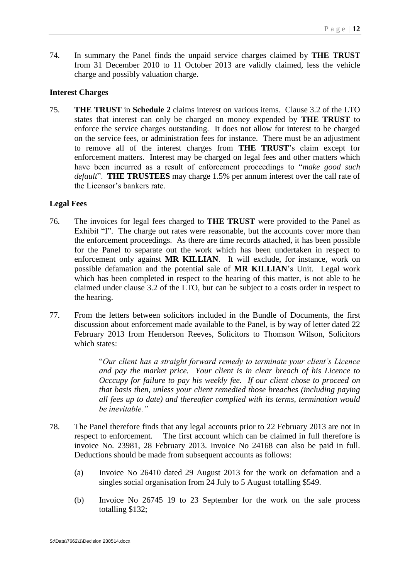74. In summary the Panel finds the unpaid service charges claimed by **THE TRUST** from 31 December 2010 to 11 October 2013 are validly claimed, less the vehicle charge and possibly valuation charge.

#### <span id="page-14-0"></span>**Interest Charges**

75. **THE TRUST** in **Schedule 2** claims interest on various items. Clause 3.2 of the LTO states that interest can only be charged on money expended by **THE TRUST** to enforce the service charges outstanding. It does not allow for interest to be charged on the service fees, or administration fees for instance. There must be an adjustment to remove all of the interest charges from **THE TRUST**'s claim except for enforcement matters. Interest may be charged on legal fees and other matters which have been incurred as a result of enforcement proceedings to "*make good such default*". **THE TRUSTEES** may charge 1.5% per annum interest over the call rate of the Licensor's bankers rate.

# <span id="page-14-1"></span>**Legal Fees**

- 76. The invoices for legal fees charged to **THE TRUST** were provided to the Panel as Exhibit "I". The charge out rates were reasonable, but the accounts cover more than the enforcement proceedings. As there are time records attached, it has been possible for the Panel to separate out the work which has been undertaken in respect to enforcement only against **MR KILLIAN**. It will exclude, for instance, work on possible defamation and the potential sale of **MR KILLIAN**'s Unit. Legal work which has been completed in respect to the hearing of this matter, is not able to be claimed under clause 3.2 of the LTO, but can be subject to a costs order in respect to the hearing.
- 77. From the letters between solicitors included in the Bundle of Documents, the first discussion about enforcement made available to the Panel, is by way of letter dated 22 February 2013 from Henderson Reeves, Solicitors to Thomson Wilson, Solicitors which states:

"*Our client has a straight forward remedy to terminate your client's Licence and pay the market price. Your client is in clear breach of his Licence to Occcupy for failure to pay his weekly fee. If our client chose to proceed on that basis then, unless your client remedied those breaches (including paying all fees up to date) and thereafter complied with its terms, termination would be inevitable."* 

- 78. The Panel therefore finds that any legal accounts prior to 22 February 2013 are not in respect to enforcement. The first account which can be claimed in full therefore is invoice No. 23981, 28 February 2013. Invoice No 24168 can also be paid in full. Deductions should be made from subsequent accounts as follows:
	- (a) Invoice No 26410 dated 29 August 2013 for the work on defamation and a singles social organisation from 24 July to 5 August totalling \$549.
	- (b) Invoice No 26745 19 to 23 September for the work on the sale process totalling \$132;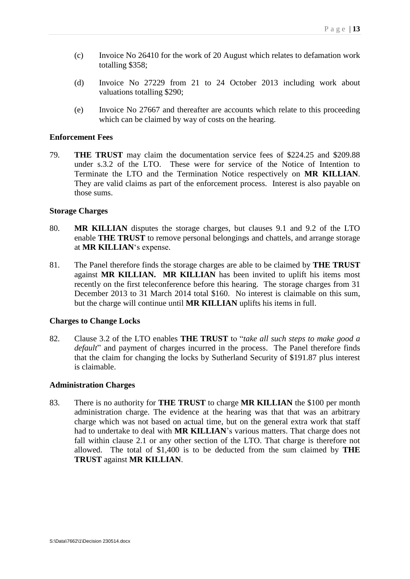- (c) Invoice No 26410 for the work of 20 August which relates to defamation work totalling \$358;
- (d) Invoice No 27229 from 21 to 24 October 2013 including work about valuations totalling \$290;
- (e) Invoice No 27667 and thereafter are accounts which relate to this proceeding which can be claimed by way of costs on the hearing.

#### <span id="page-15-0"></span>**Enforcement Fees**

79. **THE TRUST** may claim the documentation service fees of \$224.25 and \$209.88 under s.3.2 of the LTO. These were for service of the Notice of Intention to Terminate the LTO and the Termination Notice respectively on **MR KILLIAN**. They are valid claims as part of the enforcement process. Interest is also payable on those sums.

#### <span id="page-15-1"></span>**Storage Charges**

- 80. **MR KILLIAN** disputes the storage charges, but clauses 9.1 and 9.2 of the LTO enable **THE TRUST** to remove personal belongings and chattels, and arrange storage at **MR KILLIAN**'s expense.
- 81. The Panel therefore finds the storage charges are able to be claimed by **THE TRUST** against **MR KILLIAN. MR KILLIAN** has been invited to uplift his items most recently on the first teleconference before this hearing. The storage charges from 31 December 2013 to 31 March 2014 total \$160. No interest is claimable on this sum, but the charge will continue until **MR KILLIAN** uplifts his items in full.

## <span id="page-15-2"></span>**Charges to Change Locks**

82. Clause 3.2 of the LTO enables **THE TRUST** to "*take all such steps to make good a default*" and payment of charges incurred in the process. The Panel therefore finds that the claim for changing the locks by Sutherland Security of \$191.87 plus interest is claimable.

#### <span id="page-15-3"></span>**Administration Charges**

83. There is no authority for **THE TRUST** to charge **MR KILLIAN** the \$100 per month administration charge. The evidence at the hearing was that that was an arbitrary charge which was not based on actual time, but on the general extra work that staff had to undertake to deal with **MR KILLIAN**'s various matters. That charge does not fall within clause 2.1 or any other section of the LTO. That charge is therefore not allowed. The total of \$1,400 is to be deducted from the sum claimed by **THE TRUST** against **MR KILLIAN**.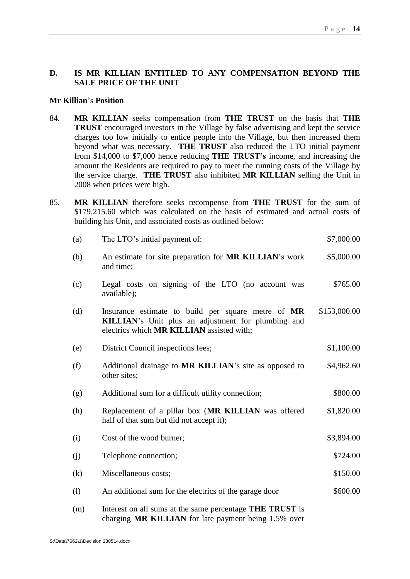# <span id="page-16-0"></span>**D. IS MR KILLIAN ENTITLED TO ANY COMPENSATION BEYOND THE SALE PRICE OF THE UNIT**

#### <span id="page-16-1"></span>**Mr Killian**'s **Position**

- 84. **MR KILLIAN** seeks compensation from **THE TRUST** on the basis that **THE TRUST** encouraged investors in the Village by false advertising and kept the service charges too low initially to entice people into the Village, but then increased them beyond what was necessary. **THE TRUST** also reduced the LTO initial payment from \$14,000 to \$7,000 hence reducing **THE TRUST's** income, and increasing the amount the Residents are required to pay to meet the running costs of the Village by the service charge. **THE TRUST** also inhibited **MR KILLIAN** selling the Unit in 2008 when prices were high.
- 85. **MR KILLIAN** therefore seeks recompense from **THE TRUST** for the sum of \$179,215.60 which was calculated on the basis of estimated and actual costs of building his Unit, and associated costs as outlined below:

| (a) | The LTO's initial payment of:                                                                                                                         | \$7,000.00   |
|-----|-------------------------------------------------------------------------------------------------------------------------------------------------------|--------------|
| (b) | An estimate for site preparation for MR KILLIAN's work<br>and time;                                                                                   | \$5,000.00   |
| (c) | Legal costs on signing of the LTO (no account was<br>available);                                                                                      | \$765.00     |
| (d) | Insurance estimate to build per square metre of MR<br>KILLIAN's Unit plus an adjustment for plumbing and<br>electrics which MR KILLIAN assisted with; | \$153,000.00 |
| (e) | District Council inspections fees;                                                                                                                    | \$1,100.00   |
| (f) | Additional drainage to MR KILLIAN's site as opposed to<br>other sites;                                                                                | \$4,962.60   |
| (g) | Additional sum for a difficult utility connection;                                                                                                    | \$800.00     |
| (h) | Replacement of a pillar box (MR KILLIAN was offered<br>half of that sum but did not accept it);                                                       | \$1,820.00   |
| (i) | Cost of the wood burner;                                                                                                                              | \$3,894.00   |
| (j) | Telephone connection;                                                                                                                                 | \$724.00     |
| (k) | Miscellaneous costs;                                                                                                                                  | \$150.00     |
| (1) | An additional sum for the electrics of the garage door                                                                                                | \$600.00     |
| (m) | Interest on all sums at the same percentage THE TRUST is<br>charging MR KILLIAN for late payment being 1.5% over                                      |              |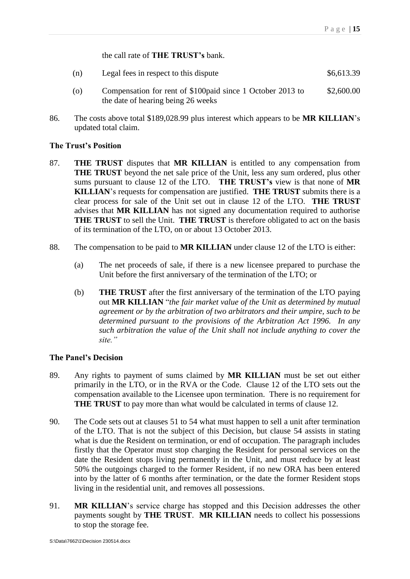the call rate of **THE TRUST's** bank.

- (n) Legal fees in respect to this dispute  $$6,613.39$
- (o) Compensation for rent of \$100paid since 1 October 2013 to the date of hearing being 26 weeks \$2,600.00
- 86. The costs above total \$189,028.99 plus interest which appears to be **MR KILLIAN**'s updated total claim.

# <span id="page-17-0"></span>**The Trust's Position**

- 87. **THE TRUST** disputes that **MR KILLIAN** is entitled to any compensation from **THE TRUST** beyond the net sale price of the Unit, less any sum ordered, plus other sums pursuant to clause 12 of the LTO. **THE TRUST's** view is that none of **MR KILLIAN**'s requests for compensation are justified. **THE TRUST** submits there is a clear process for sale of the Unit set out in clause 12 of the LTO. **THE TRUST** advises that **MR KILLIAN** has not signed any documentation required to authorise **THE TRUST** to sell the Unit. **THE TRUST** is therefore obligated to act on the basis of its termination of the LTO, on or about 13 October 2013.
- 88. The compensation to be paid to **MR KILLIAN** under clause 12 of the LTO is either:
	- (a) The net proceeds of sale, if there is a new licensee prepared to purchase the Unit before the first anniversary of the termination of the LTO; or
	- (b) **THE TRUST** after the first anniversary of the termination of the LTO paying out **MR KILLIAN** "*the fair market value of the Unit as determined by mutual agreement or by the arbitration of two arbitrators and their umpire, such to be determined pursuant to the provisions of the Arbitration Act 1996. In any such arbitration the value of the Unit shall not include anything to cover the site."*

# <span id="page-17-1"></span>**The Panel's Decision**

- 89. Any rights to payment of sums claimed by **MR KILLIAN** must be set out either primarily in the LTO, or in the RVA or the Code. Clause 12 of the LTO sets out the compensation available to the Licensee upon termination. There is no requirement for **THE TRUST** to pay more than what would be calculated in terms of clause 12.
- 90. The Code sets out at clauses 51 to 54 what must happen to sell a unit after termination of the LTO. That is not the subject of this Decision, but clause 54 assists in stating what is due the Resident on termination, or end of occupation. The paragraph includes firstly that the Operator must stop charging the Resident for personal services on the date the Resident stops living permanently in the Unit, and must reduce by at least 50% the outgoings charged to the former Resident, if no new ORA has been entered into by the latter of 6 months after termination, or the date the former Resident stops living in the residential unit, and removes all possessions.
- 91. **MR KILLIAN**'s service charge has stopped and this Decision addresses the other payments sought by **THE TRUST**. **MR KILLIAN** needs to collect his possessions to stop the storage fee.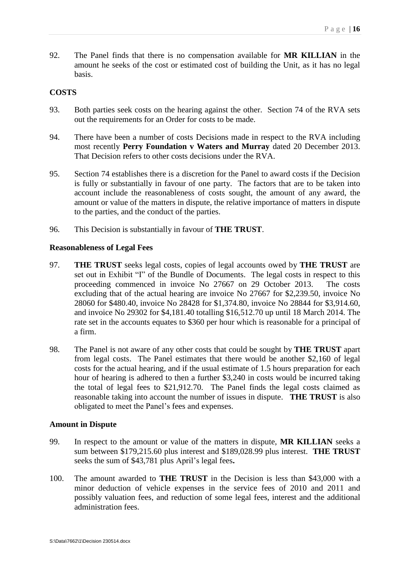92. The Panel finds that there is no compensation available for **MR KILLIAN** in the amount he seeks of the cost or estimated cost of building the Unit, as it has no legal basis.

## <span id="page-18-0"></span>**COSTS**

- 93. Both parties seek costs on the hearing against the other. Section 74 of the RVA sets out the requirements for an Order for costs to be made.
- 94. There have been a number of costs Decisions made in respect to the RVA including most recently **Perry Foundation v Waters and Murray** dated 20 December 2013. That Decision refers to other costs decisions under the RVA.
- 95. Section 74 establishes there is a discretion for the Panel to award costs if the Decision is fully or substantially in favour of one party. The factors that are to be taken into account include the reasonableness of costs sought, the amount of any award, the amount or value of the matters in dispute, the relative importance of matters in dispute to the parties, and the conduct of the parties.
- 96. This Decision is substantially in favour of **THE TRUST**.

#### <span id="page-18-1"></span>**Reasonableness of Legal Fees**

- 97. **THE TRUST** seeks legal costs, copies of legal accounts owed by **THE TRUST** are set out in Exhibit "I" of the Bundle of Documents. The legal costs in respect to this proceeding commenced in invoice No 27667 on 29 October 2013. The costs excluding that of the actual hearing are invoice No 27667 for \$2,239.50, invoice No 28060 for \$480.40, invoice No 28428 for \$1,374.80, invoice No 28844 for \$3,914.60, and invoice No 29302 for \$4,181.40 totalling \$16,512.70 up until 18 March 2014. The rate set in the accounts equates to \$360 per hour which is reasonable for a principal of a firm.
- 98. The Panel is not aware of any other costs that could be sought by **THE TRUST** apart from legal costs. The Panel estimates that there would be another \$2,160 of legal costs for the actual hearing, and if the usual estimate of 1.5 hours preparation for each hour of hearing is adhered to then a further \$3,240 in costs would be incurred taking the total of legal fees to \$21,912.70. The Panel finds the legal costs claimed as reasonable taking into account the number of issues in dispute. **THE TRUST** is also obligated to meet the Panel's fees and expenses.

#### <span id="page-18-2"></span>**Amount in Dispute**

- 99. In respect to the amount or value of the matters in dispute, **MR KILLIAN** seeks a sum between \$179,215.60 plus interest and \$189,028.99 plus interest. **THE TRUST** seeks the sum of \$43,781 plus April's legal fees**.**
- 100. The amount awarded to **THE TRUST** in the Decision is less than \$43,000 with a minor deduction of vehicle expenses in the service fees of 2010 and 2011 and possibly valuation fees, and reduction of some legal fees, interest and the additional administration fees.